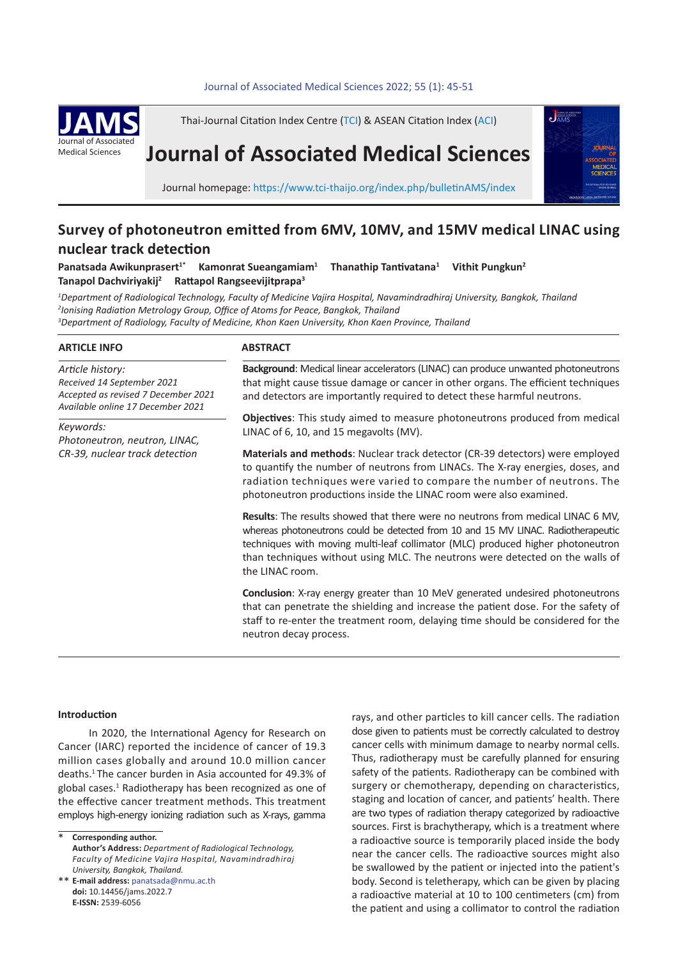#### Journal of Associated Medical Sciences 2022; 55 (1): 45-51



Thai-Journal Citation Index Centre (TCI) & ASEAN Citation Index (ACI)

# **Journal of Associated Medical Sciences**



Journal homepage: https://www.tci-thaijo.org/index.php/bulletinAMS/index

## **Survey of photoneutron emitted from 6MV, 10MV, and 15MV medical LINAC using nuclear track detection**

Panatsada Awikunprasert<sup>1\*</sup> Kamonrat Sueangamiam<sup>1</sup>  **Thanathip Tantivatana<sup>1</sup> Vithit Pungkun2 Tanapol Dachviriyakij2 Rattapol Rangseevijitprapa<sup>3</sup>** 

*1 Department of Radiological Technology, Faculty of Medicine Vajira Hospital, Navamindradhiraj University, Bangkok, Thailand 2 Ionising Radiation Metrology Group, Office of Atoms for Peace, Bangkok, Thailand 3 Department of Radiology, Faculty of Medicine, Khon Kaen University, Khon Kaen Province, Thailand*

#### **ARTICLE INFO**

*Article history: Received 14 September 2021 Accepted as revised 7 December 2021 Available online 17 December 2021*

*Keywords: Photoneutron, neutron, LINAC, CR-39, nuclear track detection*

#### **ABSTRACT**

**Background**: Medical linear accelerators (LINAC) can produce unwanted photoneutrons that might cause tissue damage or cancer in other organs. The efficient techniques and detectors are importantly required to detect these harmful neutrons.

**Objectives**: This study aimed to measure photoneutrons produced from medical LINAC of 6, 10, and 15 megavolts (MV).

**Materials and methods**: Nuclear track detector (CR-39 detectors) were employed to quantify the number of neutrons from LINACs. The X-ray energies, doses, and radiation techniques were varied to compare the number of neutrons. The photoneutron productions inside the LINAC room were also examined.

**Results**: The results showed that there were no neutrons from medical LINAC 6 MV, whereas photoneutrons could be detected from 10 and 15 MV LINAC. Radiotherapeutic techniques with moving multi-leaf collimator (MLC) produced higher photoneutron than techniques without using MLC. The neutrons were detected on the walls of the LINAC room.

**Conclusion**: X-ray energy greater than 10 MeV generated undesired photoneutrons that can penetrate the shielding and increase the patient dose. For the safety of staff to re-enter the treatment room, delaying time should be considered for the neutron decay process.

#### **Introduction**

In 2020, the International Agency for Research on Cancer (IARC) reported the incidence of cancer of 19.3 million cases globally and around 10.0 million cancer deaths.<sup>1</sup>The cancer burden in Asia accounted for 49.3% of global cases.<sup>1</sup> Radiotherapy has been recognized as one of the effective cancer treatment methods. This treatment employs high-energy ionizing radiation such as X-rays, gamma

**Corresponding author. Author's Address:** *Department of Radiological Technology, Faculty of Medicine Vajira Hospital, Navamindradhiraj University, Bangkok, Thailand.* \*

**E-mail address:** panatsada@nmu.ac.th \*\* **doi:** 10.14456/jams.2022.7 **E-ISSN:** 2539-6056

rays, and other particles to kill cancer cells. The radiation dose given to patients must be correctly calculated to destroy cancer cells with minimum damage to nearby normal cells. Thus, radiotherapy must be carefully planned for ensuring safety of the patients. Radiotherapy can be combined with surgery or chemotherapy, depending on characteristics, staging and location of cancer, and patients' health. There are two types of radiation therapy categorized by radioactive sources. First is brachytherapy, which is a treatment where a radioactive source is temporarily placed inside the body near the cancer cells. The radioactive sources might also be swallowed by the patient or injected into the patient's body. Second is teletherapy, which can be given by placing a radioactive material at 10 to 100 centimeters (cm) from the patient and using a collimator to control the radiation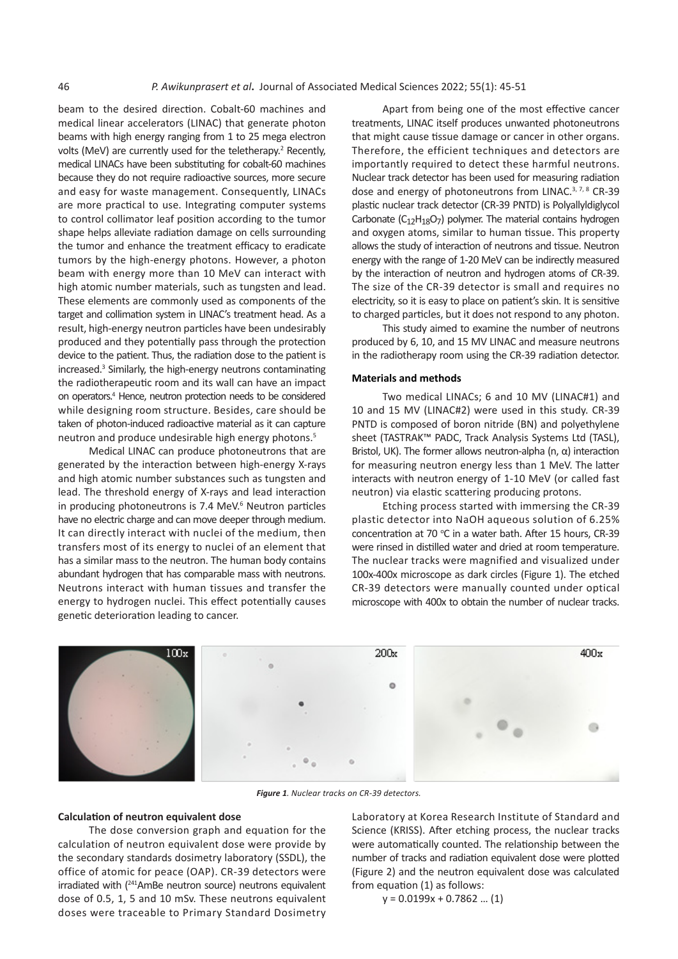beam to the desired direction. Cobalt-60 machines and medical linear accelerators (LINAC) that generate photon beams with high energy ranging from 1 to 25 mega electron volts (MeV) are currently used for the teletherapy.<sup>2</sup> Recently, medical LINACs have been substituting for cobalt-60 machines because they do not require radioactive sources, more secure and easy for waste management. Consequently, LINACs are more practical to use. Integrating computer systems to control collimator leaf position according to the tumor shape helps alleviate radiation damage on cells surrounding the tumor and enhance the treatment efficacy to eradicate tumors by the high-energy photons. However, a photon beam with energy more than 10 MeV can interact with high atomic number materials, such as tungsten and lead. These elements are commonly used as components of the target and collimation system in LINAC's treatment head. As a result, high-energy neutron particles have been undesirably produced and they potentially pass through the protection device to the patient. Thus, the radiation dose to the patient is increased.<sup>3</sup> Similarly, the high-energy neutrons contaminating the radiotherapeutic room and its wall can have an impact on operators.<sup>4</sup> Hence, neutron protection needs to be considered while designing room structure. Besides, care should be taken of photon-induced radioactive material as it can capture neutron and produce undesirable high energy photons.<sup>5</sup>

Medical LINAC can produce photoneutrons that are generated by the interaction between high-energy X-rays and high atomic number substances such as tungsten and lead. The threshold energy of X-rays and lead interaction in producing photoneutrons is 7.4 MeV.<sup>6</sup> Neutron particles have no electric charge and can move deeper through medium. It can directly interact with nuclei of the medium, then transfers most of its energy to nuclei of an element that has a similar mass to the neutron. The human body contains abundant hydrogen that has comparable mass with neutrons. Neutrons interact with human tissues and transfer the energy to hydrogen nuclei. This effect potentially causes genetic deterioration leading to cancer.

Apart from being one of the most effective cancer treatments, LINAC itself produces unwanted photoneutrons that might cause tissue damage or cancer in other organs. Therefore, the efficient techniques and detectors are importantly required to detect these harmful neutrons. Nuclear track detector has been used for measuring radiation dose and energy of photoneutrons from LINAC.<sup>3, 7, 8</sup> CR-39 plastic nuclear track detector (CR-39 PNTD) is Polyallyldiglycol Carbonate  $(C_{12}H_{18}O_7)$  polymer. The material contains hydrogen and oxygen atoms, similar to human tissue. This property allows the study of interaction of neutrons and tissue. Neutron energy with the range of 1-20 MeV can be indirectly measured by the interaction of neutron and hydrogen atoms of CR-39. The size of the CR-39 detector is small and requires no electricity, so it is easy to place on patient's skin. It is sensitive to charged particles, but it does not respond to any photon.

This study aimed to examine the number of neutrons produced by 6, 10, and 15 MV LINAC and measure neutrons in the radiotherapy room using the CR-39 radiation detector.

#### **Materials and methods**

Two medical LINACs; 6 and 10 MV (LINAC#1) and 10 and 15 MV (LINAC#2) were used in this study. CR-39 PNTD is composed of boron nitride (BN) and polyethylene sheet (TASTRAK™ PADC, Track Analysis Systems Ltd (TASL), Bristol, UK). The former allows neutron-alpha (n,  $α$ ) interaction for measuring neutron energy less than 1 MeV. The latter interacts with neutron energy of 1-10 MeV (or called fast neutron) via elastic scattering producing protons.

Etching process started with immersing the CR-39 plastic detector into NaOH aqueous solution of 6.25% concentration at 70  $^{\circ}$ C in a water bath. After 15 hours, CR-39 were rinsed in distilled water and dried at room temperature. The nuclear tracks were magnified and visualized under 100x-400x microscope as dark circles (Figure 1). The etched CR-39 detectors were manually counted under optical microscope with 400x to obtain the number of nuclear tracks.



*Figure 1. Nuclear tracks on CR-39 detectors.*

#### **Calculation of neutron equivalent dose**

The dose conversion graph and equation for the calculation of neutron equivalent dose were provide by the secondary standards dosimetry laboratory (SSDL), the office of atomic for peace (OAP). CR-39 detectors were irradiated with (<sup>241</sup>AmBe neutron source) neutrons equivalent dose of 0.5, 1, 5 and 10 mSv. These neutrons equivalent doses were traceable to Primary Standard Dosimetry

Laboratory at Korea Research Institute of Standard and Science (KRISS). After etching process, the nuclear tracks were automatically counted. The relationship between the number of tracks and radiation equivalent dose were plotted (Figure 2) and the neutron equivalent dose was calculated from equation (1) as follows:

y = 0.0199x + 0.7862 … (1)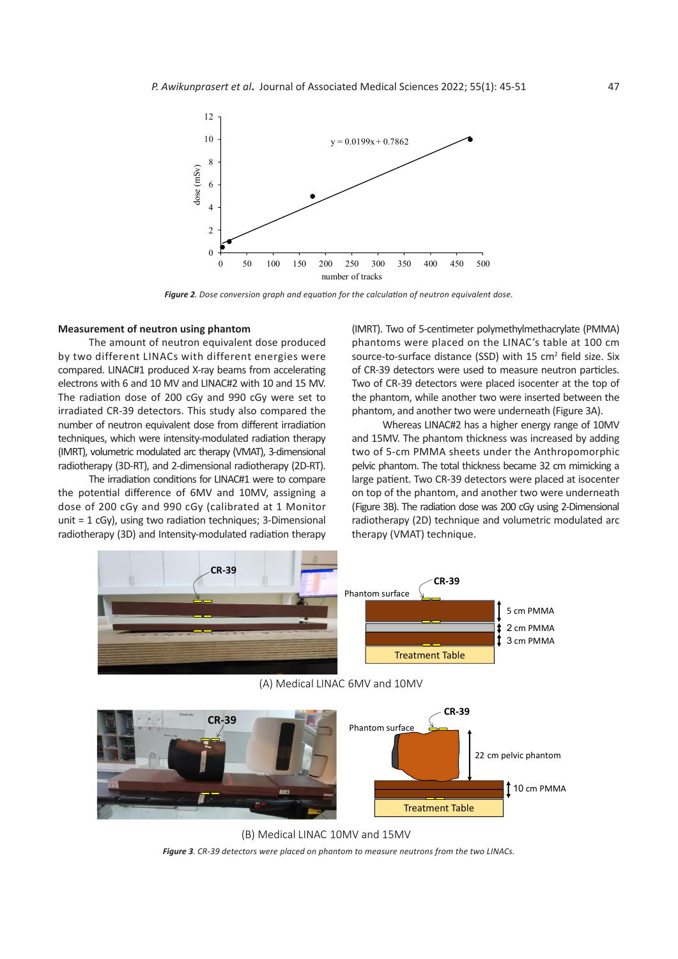

*Figure 2. Dose conversion graph and equation for the calculation of neutron equivalent dose.* Figure 2: Dose conversion graph and equation for the calculation of neutron equivalent dose

### **Measurement of neutron using phantom**

The amount of neutron equivalent dose produced by two different LINACs with different energies were compared. LINAC#1 produced X-ray beams from accelerating electrons with 6 and 10 MV and LINAC#2 with 10 and 15 MV. The radiation dose of 200 cGy and 990 cGy were set to the phantom, while another two were inserted betwee irradiated CR-39 detectors. This study also compared the number of neutron equivalent dose from different irradiation Whereas LINAC#2 has a higher energy range of 1<br>techniques, which were intensity-modulated arc therapy of therapy are different intensity model therapy was increa techniques, which were intensity-modulated radiation therapy econfigues, when were intensity modulated radiation dietapy and 1900. The phantom difference (IMRT), 3-dimensional two of 5-cm PMMA sheets under radiotherapy (3D-RT), and 2-dimensional radiotherapy (2D-RT). ted CR-39 detectors. This study also compared the phantom, and another two were underneath (Figure 3A).

The irradiation conditions for LINAC#1 were to compare the potential difference of 6MV and 10MV, assigning a dose of 200 cGy and 990 cGy (calibrated at 1 Monitor unit = 1 cGy), using two radiation techniques; 3-Dimensional radiotherapy (3D) and Intensity-modulated radiation therapy

(IMRT). Two of 5-centimeter polymethylmethacrylate (PMMA) phantoms were placed on the LINAC's table at 100 cm source-to-surface distance (SSD) with  $15 \text{ cm}^2$  field size. Six AC#1 produced X-ray beams from accelerating of CR-39 detectors were used to measure neutron particles. ons with 6 and 10 MV and LINAC#2 with 10 and 15 MV. Two of CR-39 detectors were placed isocenter at the top of the phantom, while another two were inserted between the

Whereas LINAC#2 has a higher energy range of 10MV and 15MV. The phantom thickness was increased by adding two of 5-cm PMMA sheets under the Anthropomorphic D-RT), and 2-dimensional radiotherapy (2D-RT). pelvic phantom. The total thickness became 32 cm mimicking a The irradiation conditions for LINAC#1 were to compare large patient. Two CR-39 detectors were placed at isocenter otential difference of 6MV and 10MV, assigning a con top of the phantom, and another two were underneath of 200 cGy and 990 cGy (calibrated at 1 Monitor (Figure 3B). The radiation dose was 200 cGy using 2-Dimensional 1 cGy), using two radiation techniques; 3-Dimensional radiotherapy (2D) technique and volumetric modulated arc<br>source: (3D) and literarity madulated rediction therapy: therapy: (30,447) technique therapy (VMAT) technique.



(A) Medical LINAC 6MV and 10MV



*Figure 3. CR-39 detectors were placed on phantom to measure neutrons from the two LINACs.* (B) Medical LINAC 10MV and 15MV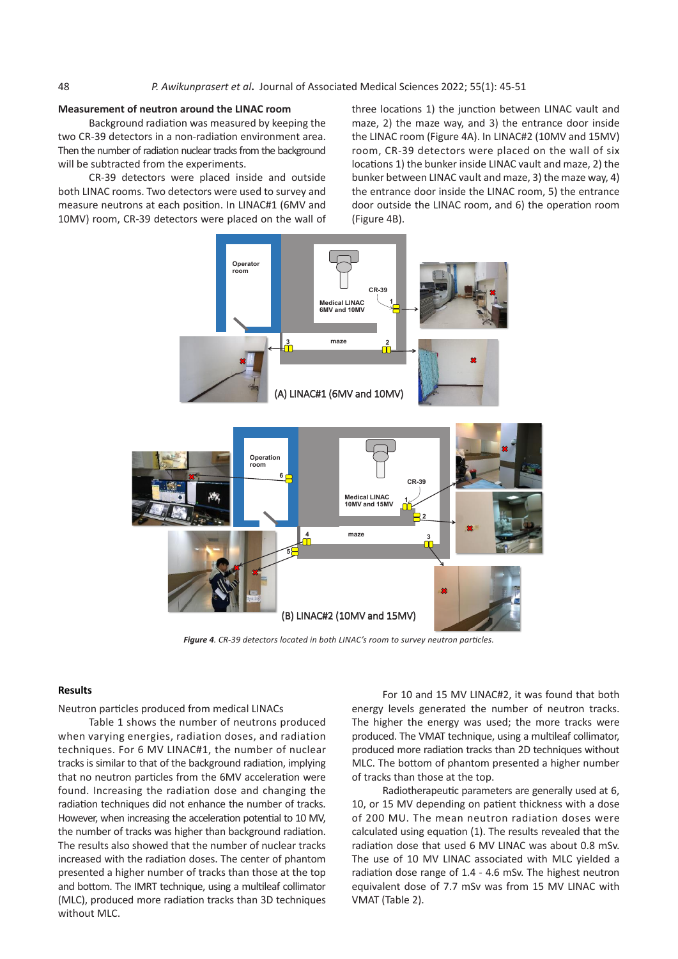#### **Measurement of neutron around the LINAC room**

Background radiation was measured by keeping the two CR-39 detectors in a non-radiation environment area. Then the number of radiation nuclear tracks from the background will be subtracted from the experiments.

CR-39 detectors were placed inside and outside both LINAC rooms. Two detectors were used to survey and measure neutrons at each position. In LINAC#1 (6MV and 10MV) room, CR-39 detectors were placed on the wall of three locations 1) the junction between LINAC vault and maze, 2) the maze way, and 3) the entrance door inside the LINAC room (Figure 4A). In LINAC#2 (10MV and 15MV) room, CR-39 detectors were placed on the wall of six locations 1) the bunker inside LINAC vault and maze, 2) the bunker between LINAC vault and maze, 3) the maze way, 4) 6 the entrance door inside the LINAC room, 5) the entrance door outside the LINAC room, and 6) the operation room (Figure 4B).



*Figure 4. CR-39 detectors located in both LINAC's room to survey neutron particles.*

Neutron particles produced from medical LINACs **Results**

Table 1 shows the number of neutrons produced when varying energies, radiation doses, and radiation techniques. For 6 MV LINAC#1, the number of nuclear eproduced more radiation tracks than 2D techniques wit tracks is similar to that of the background radiation, implying that no neutron particles from the 6MV acceleration were that no neution particles norm the owly acceleration were the radiss than those at the top.<br>found. Increasing the radiation dose and changing the **Radiotherapeutic parameters are generally** used radiation techniques did not enhance the number of tracks. However, when increasing the acceleration potential to 10 MV, the number of tracks was higher than background radiation. The results also showed that the number of nuclear tracks increased with the radiation doses. The center of phantom increased with the radiation doses. The center or phantom<br>presented a higher number of tracks than those at the top and bottom. The IMRT technique, using a multileaf collimator the extern the more radiation tracks than 3D techniques and tracks. The more more produced more radiation tracks than 3D techniques and tracks. The variable 2). without MLC.

**Results** For 10 and 15 MV LINAC#2, it was found that both energy levels generated the number of neutron tracks. The higher the energy was used; the more tracks were g energies, radiation doses, and radiation produced. The VMAT technique, using a multileaf collimator, produced more radiation tracks than 2D techniques without s is similar to that of the background radiation, implying MLC. The bottom of phantom presented a higher number of tracks than those at the top.

Radiotherapeutic parameters are generally used at 6, the increasing the continuum acceleration increasing the acceleration potential potential potential to generation the acceleration to the acceleration potential to 10, or 15 MV depending on patient thickness with a dose ever, when increasing the acceleration potential to 10 MV, of 200 MU. The mean neutron radiation doses were umber of tracks was higher than background radiation. <br>
calculated using equation (1). The results revealed that the results also showed that the number of nuclear tracks and adiation dose that used 6 MV LINAC was about 0.8 mSv. The use of 10 MV LINAC associated with MLC yielded a radiation dose range of 1.4 - 4.6 mSv. The highest neutron meter in the matter of them of the the commutation and the number of 11.1 The number of methods in the number of neutron in the number of the number of neutron in the number of neutron has not the number of neutron in the VMAT (Table 2).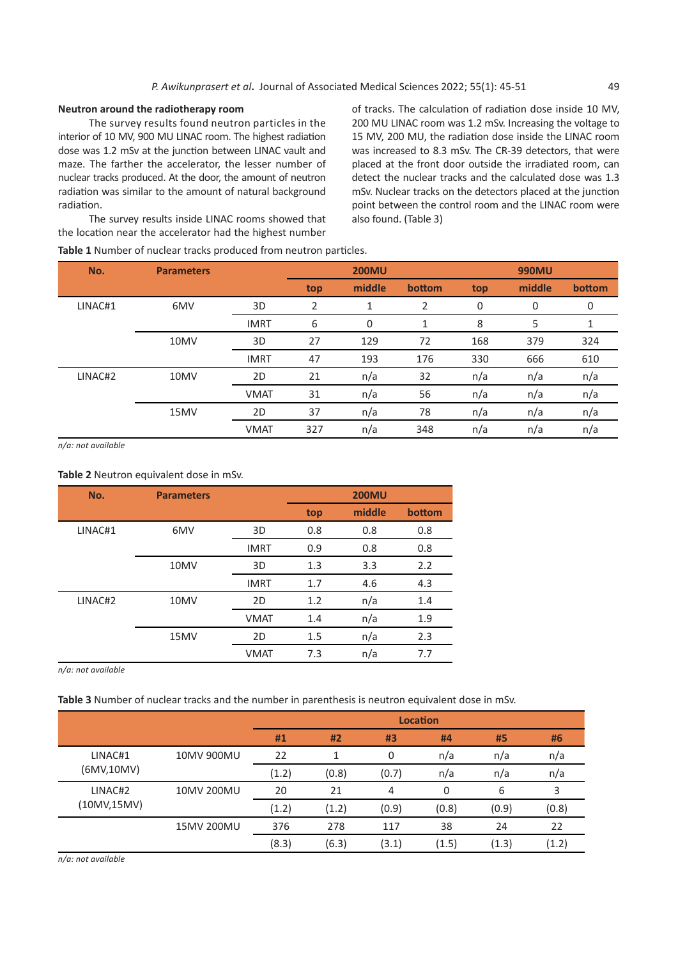#### **Neutron around the radiotherapy room**

The survey results found neutron particles in the interior of 10 MV, 900 MU LINAC room. The highest radiation dose was 1.2 mSv at the junction between LINAC vault and maze. The farther the accelerator, the lesser number of nuclear tracks produced. At the door, the amount of neutron radiation was similar to the amount of natural background radiation.

The survey results inside LINAC rooms showed that the location near the accelerator had the highest number

**Table 1** Number of nuclear tracks produced from neutron particles.

of tracks. The calculation of radiation dose inside 10 MV, 200 MU LINAC room was 1.2 mSv. Increasing the voltage to 15 MV, 200 MU, the radiation dose inside the LINAC room was increased to 8.3 mSv. The CR-39 detectors, that were placed at the front door outside the irradiated room, can detect the nuclear tracks and the calculated dose was 1.3 mSv. Nuclear tracks on the detectors placed at the junction point between the control room and the LINAC room were also found. (Table 3)

| No.     | <b>Parameters</b> |             | <b>200MU</b> |        |        | 990MU |        |        |
|---------|-------------------|-------------|--------------|--------|--------|-------|--------|--------|
|         |                   |             | top          | middle | bottom | top   | middle | bottom |
| LINAC#1 | 6MV               | 3D          | 2            | T      | 2      | 0     | 0      | 0      |
|         |                   | <b>IMRT</b> | 6            | 0      | 1      | 8     | 5      | 1      |
|         | 10MV              | 3D          | 27           | 129    | 72     | 168   | 379    | 324    |
|         |                   | <b>IMRT</b> | 47           | 193    | 176    | 330   | 666    | 610    |
| LINAC#2 | 10MV              | 2D          | 21           | n/a    | 32     | n/a   | n/a    | n/a    |
|         |                   | <b>VMAT</b> | 31           | n/a    | 56     | n/a   | n/a    | n/a    |
|         | 15MV              | 2D          | 37           | n/a    | 78     | n/a   | n/a    | n/a    |
|         |                   | <b>VMAT</b> | 327          | n/a    | 348    | n/a   | n/a    | n/a    |

*n/a: not available*

#### **Table 2** Neutron equivalent dose in mSv.

| No.     | <b>Parameters</b> |             | <b>200MU</b> |        |        |  |
|---------|-------------------|-------------|--------------|--------|--------|--|
|         |                   |             | top          | middle | bottom |  |
| LINAC#1 | 6MV               | 3D          | 0.8          | 0.8    | 0.8    |  |
|         |                   | <b>IMRT</b> | 0.9          | 0.8    | 0.8    |  |
|         | 10MV              | 3D          | 1.3          | 3.3    | 2.2    |  |
|         |                   | <b>IMRT</b> | 1.7          | 4.6    | 4.3    |  |
| LINAC#2 | 10MV              | 2D          | 1.2          | n/a    | 1.4    |  |
|         |                   | <b>VMAT</b> | 1.4          | n/a    | 1.9    |  |
|         | 15MV              | 2D          | 1.5          | n/a    | 2.3    |  |
|         |                   | <b>VMAT</b> | 7.3          | n/a    | 7.7    |  |

*n/a: not available*

**Table 3** Number of nuclear tracks and the number in parenthesis is neutron equivalent dose in mSv.

|              |            | <b>Location</b> |       |       |       |       |       |
|--------------|------------|-----------------|-------|-------|-------|-------|-------|
|              |            | #1              | #2    | #3    | #4    | #5    | #6    |
| LINAC#1      | 10MV 900MU | 22              |       | 0     | n/a   | n/a   | n/a   |
| (6MV,10MV)   |            | (1.2)           | (0.8) | (0.7) | n/a   | n/a   | n/a   |
| LINAC#2      | 10MV 200MU | 20              | 21    | 4     | 0     | 6     | 3     |
| (10MV, 15MV) |            | (1.2)           | (1.2) | (0.9) | (0.8) | (0.9) | (0.8) |
|              | 15MV 200MU | 376             | 278   | 117   | 38    | 24    | 22    |
|              |            | (8.3)           | (6.3) | (3.1) | (1.5) | (1.3) | (1.2) |

*n/a: not available*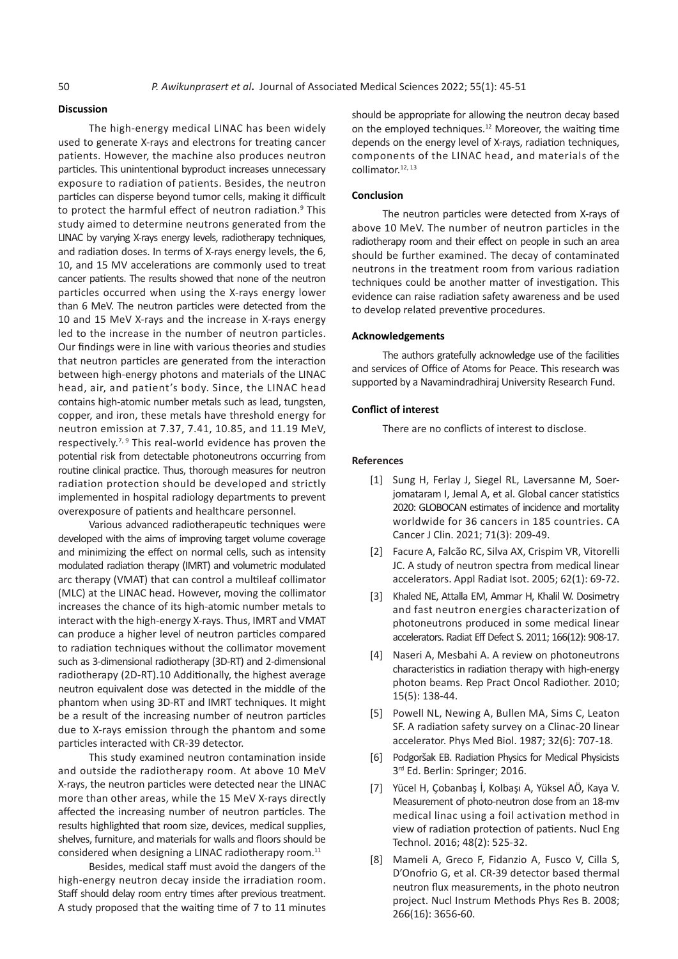#### **Discussion**

The high-energy medical LINAC has been widely used to generate X-rays and electrons for treating cancer patients. However, the machine also produces neutron particles. This unintentional byproduct increases unnecessary exposure to radiation of patients. Besides, the neutron particles can disperse beyond tumor cells, making it difficult to protect the harmful effect of neutron radiation.<sup>9</sup> This study aimed to determine neutrons generated from the LINAC by varying X-rays energy levels, radiotherapy techniques, and radiation doses. In terms of X-rays energy levels, the 6, 10, and 15 MV accelerations are commonly used to treat cancer patients. The results showed that none of the neutron particles occurred when using the X-rays energy lower than 6 MeV. The neutron particles were detected from the 10 and 15 MeV X-rays and the increase in X-rays energy led to the increase in the number of neutron particles. Our findings were in line with various theories and studies that neutron particles are generated from the interaction between high-energy photons and materials of the LINAC head, air, and patient's body. Since, the LINAC head contains high-atomic number metals such as lead, tungsten, copper, and iron, these metals have threshold energy for neutron emission at 7.37, 7.41, 10.85, and 11.19 MeV, respectively.<sup>7, 9</sup> This real-world evidence has proven the potential risk from detectable photoneutrons occurring from routine clinical practice. Thus, thorough measures for neutron radiation protection should be developed and strictly implemented in hospital radiology departments to prevent overexposure of patients and healthcare personnel.

Various advanced radiotherapeutic techniques were developed with the aims of improving target volume coverage and minimizing the effect on normal cells, such as intensity modulated radiation therapy (IMRT) and volumetric modulated arc therapy (VMAT) that can control a multileaf collimator (MLC) at the LINAC head. However, moving the collimator increases the chance of its high-atomic number metals to interact with the high-energy X-rays. Thus, IMRT and VMAT can produce a higher level of neutron particles compared to radiation techniques without the collimator movement such as 3-dimensional radiotherapy (3D-RT) and 2-dimensional radiotherapy (2D-RT).10 Additionally, the highest average neutron equivalent dose was detected in the middle of the phantom when using 3D-RT and IMRT techniques. It might be a result of the increasing number of neutron particles due to X-rays emission through the phantom and some particles interacted with CR-39 detector.

This study examined neutron contamination inside and outside the radiotherapy room. At above 10 MeV X-rays, the neutron particles were detected near the LINAC more than other areas, while the 15 MeV X-rays directly affected the increasing number of neutron particles. The results highlighted that room size, devices, medical supplies, shelves, furniture, and materials for walls and floors should be considered when designing a LINAC radiotherapy room.<sup>11</sup>

Besides, medical staff must avoid the dangers of the high-energy neutron decay inside the irradiation room. Staff should delay room entry times after previous treatment. A study proposed that the waiting time of 7 to 11 minutes should be appropriate for allowing the neutron decay based on the employed techniques.<sup>12</sup> Moreover, the waiting time depends on the energy level of X-rays, radiation techniques, components of the LINAC head, and materials of the collimator.<sup>12, 13</sup>

#### **Conclusion**

The neutron particles were detected from X-rays of above 10 MeV. The number of neutron particles in the radiotherapy room and their effect on people in such an area should be further examined. The decay of contaminated neutrons in the treatment room from various radiation techniques could be another matter of investigation. This evidence can raise radiation safety awareness and be used to develop related preventive procedures.

#### **Acknowledgements**

The authors gratefully acknowledge use of the facilities and services of Office of Atoms for Peace. This research was supported by a Navamindradhiraj University Research Fund.

#### **Conflict of interest**

There are no conflicts of interest to disclose.

#### **References**

- [1] Sung H, Ferlay J, Siegel RL, Laversanne M, Soerjomataram I, Jemal A, et al. Global cancer statistics 2020: GLOBOCAN estimates of incidence and mortality worldwide for 36 cancers in 185 countries. CA Cancer J Clin. 2021; 71(3): 209-49.
- [2] Facure A, Falcão RC, Silva AX, Crispim VR, Vitorelli JC. A study of neutron spectra from medical linear accelerators. Appl Radiat Isot. 2005; 62(1): 69-72.
- [3] Khaled NE, Attalla EM, Ammar H, Khalil W. Dosimetry and fast neutron energies characterization of photoneutrons produced in some medical linear accelerators. Radiat Eff Defect S. 2011; 166(12): 908-17.
- [4] Naseri A, Mesbahi A. A review on photoneutrons characteristics in radiation therapy with high-energy photon beams. Rep Pract Oncol Radiother. 2010; 15(5): 138-44.
- [5] Powell NL, Newing A, Bullen MA, Sims C, Leaton SF. A radiation safety survey on a Clinac-20 linear accelerator. Phys Med Biol. 1987; 32(6): 707-18.
- [6] Podgoršak EB. Radiation Physics for Medical Physicists 3<sup>rd</sup> Ed. Berlin: Springer; 2016.
- [7] Yücel H, Çobanbaş İ, Kolbaşı A, Yüksel AÖ, Kaya V. Measurement of photo-neutron dose from an 18-mv medical linac using a foil activation method in view of radiation protection of patients. Nucl Eng Technol. 2016; 48(2): 525-32.
- [8] Mameli A, Greco F, Fidanzio A, Fusco V, Cilla S, D'Onofrio G, et al. CR-39 detector based thermal neutron flux measurements, in the photo neutron project. Nucl Instrum Methods Phys Res B. 2008; 266(16): 3656-60.